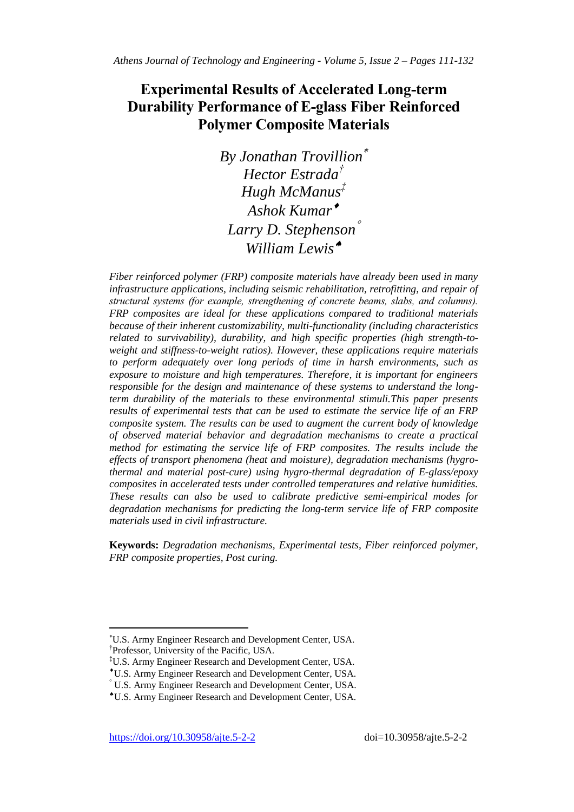# **Experimental Results of Accelerated Long-term Durability Performance of E-glass Fiber Reinforced Polymer Composite Materials**

*By Jonathan Trovillion Hector Estrada† Hugh McManus‡ Ashok Kumar Larry D. Stephenson William Lewis*

*Fiber reinforced polymer (FRP) composite materials have already been used in many infrastructure applications, including seismic rehabilitation, retrofitting, and repair of structural systems (for example, strengthening of concrete beams, slabs, and columns). FRP composites are ideal for these applications compared to traditional materials because of their inherent customizability, multi-functionality (including characteristics related to survivability), durability, and high specific properties (high strength-toweight and stiffness-to-weight ratios). However, these applications require materials to perform adequately over long periods of time in harsh environments, such as exposure to moisture and high temperatures. Therefore, it is important for engineers responsible for the design and maintenance of these systems to understand the longterm durability of the materials to these environmental stimuli.This paper presents results of experimental tests that can be used to estimate the service life of an FRP composite system. The results can be used to augment the current body of knowledge of observed material behavior and degradation mechanisms to create a practical method for estimating the service life of FRP composites. The results include the effects of transport phenomena (heat and moisture), degradation mechanisms (hygrothermal and material post-cure) using hygro-thermal degradation of E-glass/epoxy composites in accelerated tests under controlled temperatures and relative humidities. These results can also be used to calibrate predictive semi-empirical modes for degradation mechanisms for predicting the long-term service life of FRP composite materials used in civil infrastructure.*

**Keywords:** *Degradation mechanisms, Experimental tests, Fiber reinforced polymer, FRP composite properties, Post curing.*

 $\overline{a}$ 

U.S. Army Engineer Research and Development Center, USA. † Professor, University of the Pacific, USA.

<sup>‡</sup>U.S. Army Engineer Research and Development Center, USA.

U.S. Army Engineer Research and Development Center, USA.

U.S. Army Engineer Research and Development Center, USA.

U.S. Army Engineer Research and Development Center, USA.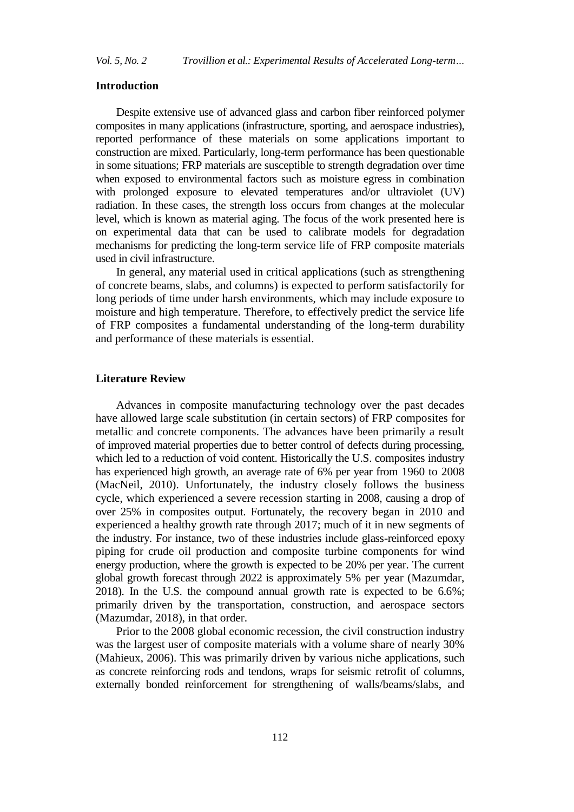### **Introduction**

Despite extensive use of advanced glass and carbon fiber reinforced polymer composites in many applications (infrastructure, sporting, and aerospace industries), reported performance of these materials on some applications important to construction are mixed. Particularly, long-term performance has been questionable in some situations; FRP materials are susceptible to strength degradation over time when exposed to environmental factors such as moisture egress in combination with prolonged exposure to elevated temperatures and/or ultraviolet (UV) radiation. In these cases, the strength loss occurs from changes at the molecular level, which is known as material aging. The focus of the work presented here is on experimental data that can be used to calibrate models for degradation mechanisms for predicting the long-term service life of FRP composite materials used in civil infrastructure.

In general, any material used in critical applications (such as strengthening of concrete beams, slabs, and columns) is expected to perform satisfactorily for long periods of time under harsh environments, which may include exposure to moisture and high temperature. Therefore, to effectively predict the service life of FRP composites a fundamental understanding of the long-term durability and performance of these materials is essential.

## **Literature Review**

Advances in composite manufacturing technology over the past decades have allowed large scale substitution (in certain sectors) of FRP composites for metallic and concrete components. The advances have been primarily a result of improved material properties due to better control of defects during processing, which led to a reduction of void content. Historically the U.S. composites industry has experienced high growth, an average rate of 6% per year from 1960 to 2008 (MacNeil, 2010). Unfortunately, the industry closely follows the business cycle, which experienced a severe recession starting in 2008, causing a drop of over 25% in composites output. Fortunately, the recovery began in 2010 and experienced a healthy growth rate through 2017; much of it in new segments of the industry. For instance, two of these industries include glass-reinforced epoxy piping for crude oil production and composite turbine components for wind energy production, where the growth is expected to be 20% per year. The current global growth forecast through 2022 is approximately 5% per year (Mazumdar, 2018). In the U.S. the compound annual growth rate is expected to be 6.6%; primarily driven by the transportation, construction, and aerospace sectors (Mazumdar, 2018), in that order.

Prior to the 2008 global economic recession, the civil construction industry was the largest user of composite materials with a volume share of nearly 30% (Mahieux, 2006). This was primarily driven by various niche applications, such as concrete reinforcing rods and tendons, wraps for seismic retrofit of columns, externally bonded reinforcement for strengthening of walls/beams/slabs, and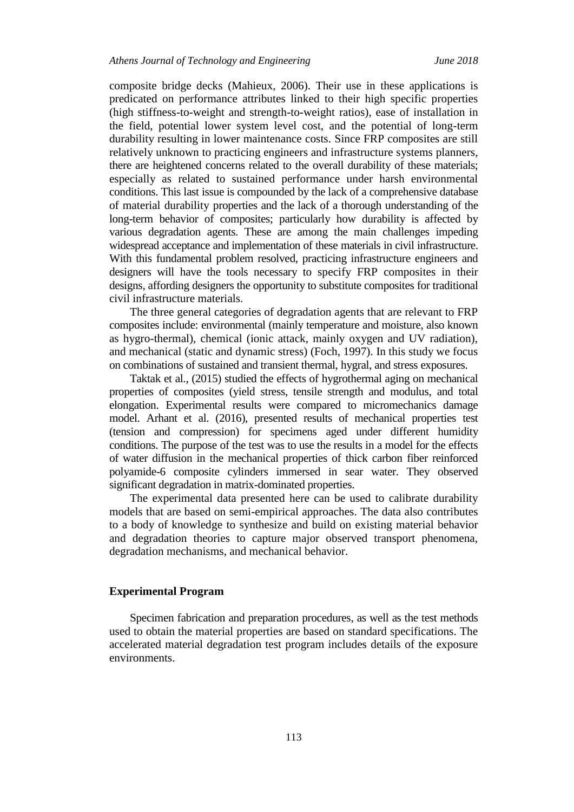composite bridge decks (Mahieux, 2006). Their use in these applications is predicated on performance attributes linked to their high specific properties (high stiffness-to-weight and strength-to-weight ratios), ease of installation in the field, potential lower system level cost, and the potential of long-term durability resulting in lower maintenance costs. Since FRP composites are still relatively unknown to practicing engineers and infrastructure systems planners, there are heightened concerns related to the overall durability of these materials; especially as related to sustained performance under harsh environmental conditions. This last issue is compounded by the lack of a comprehensive database of material durability properties and the lack of a thorough understanding of the long-term behavior of composites; particularly how durability is affected by various degradation agents. These are among the main challenges impeding widespread acceptance and implementation of these materials in civil infrastructure. With this fundamental problem resolved, practicing infrastructure engineers and designers will have the tools necessary to specify FRP composites in their designs, affording designers the opportunity to substitute composites for traditional civil infrastructure materials.

The three general categories of degradation agents that are relevant to FRP composites include: environmental (mainly temperature and moisture, also known as hygro-thermal), chemical (ionic attack, mainly oxygen and UV radiation), and mechanical (static and dynamic stress) (Foch, 1997). In this study we focus on combinations of sustained and transient thermal, hygral, and stress exposures.

Taktak et al., (2015) studied the effects of hygrothermal aging on mechanical properties of composites (yield stress, tensile strength and modulus, and total elongation. Experimental results were compared to micromechanics damage model. Arhant et al. (2016), presented results of mechanical properties test (tension and compression) for specimens aged under different humidity conditions. The purpose of the test was to use the results in a model for the effects of water diffusion in the mechanical properties of thick carbon fiber reinforced polyamide-6 composite cylinders immersed in sear water. They observed significant degradation in matrix-dominated properties.

The experimental data presented here can be used to calibrate durability models that are based on semi-empirical approaches. The data also contributes to a body of knowledge to synthesize and build on existing material behavior and degradation theories to capture major observed transport phenomena, degradation mechanisms, and mechanical behavior.

### **Experimental Program**

Specimen fabrication and preparation procedures, as well as the test methods used to obtain the material properties are based on standard specifications. The accelerated material degradation test program includes details of the exposure environments.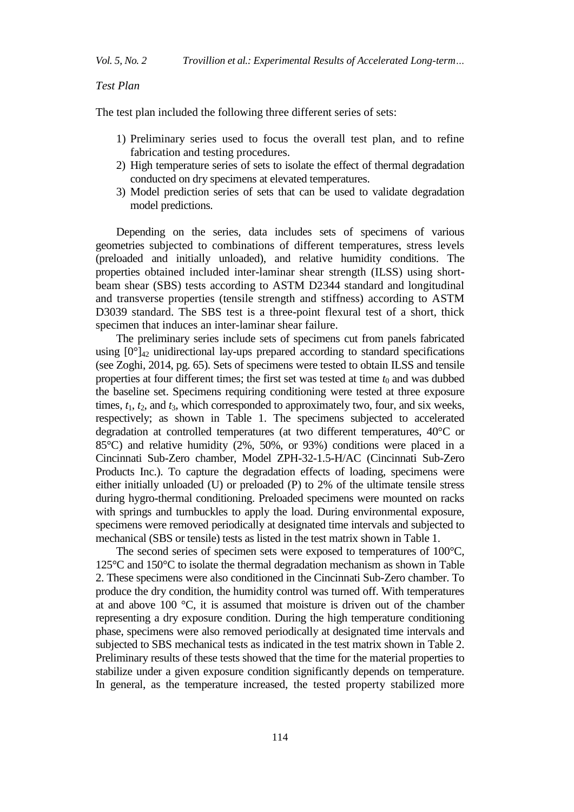*Test Plan*

The test plan included the following three different series of sets:

- 1) Preliminary series used to focus the overall test plan, and to refine fabrication and testing procedures.
- 2) High temperature series of sets to isolate the effect of thermal degradation conducted on dry specimens at elevated temperatures.
- 3) Model prediction series of sets that can be used to validate degradation model predictions.

Depending on the series, data includes sets of specimens of various geometries subjected to combinations of different temperatures, stress levels (preloaded and initially unloaded), and relative humidity conditions. The properties obtained included inter-laminar shear strength (ILSS) using shortbeam shear (SBS) tests according to ASTM D2344 standard and longitudinal and transverse properties (tensile strength and stiffness) according to ASTM D3039 standard. The SBS test is a three-point flexural test of a short, thick specimen that induces an inter-laminar shear failure.

The preliminary series include sets of specimens cut from panels fabricated using  $[0^{\circ}]_{42}$  unidirectional lay-ups prepared according to standard specifications (see Zoghi, 2014, pg. 65). Sets of specimens were tested to obtain ILSS and tensile properties at four different times; the first set was tested at time  $t_0$  and was dubbed the baseline set. Specimens requiring conditioning were tested at three exposure times, *t*1, *t*2, and *t*3, which corresponded to approximately two, four, and six weeks, respectively; as shown in Table 1. The specimens subjected to accelerated degradation at controlled temperatures (at two different temperatures, 40°C or 85°C) and relative humidity (2%, 50%, or 93%) conditions were placed in a Cincinnati Sub-Zero chamber, Model ZPH-32-1.5-H/AC (Cincinnati Sub-Zero Products Inc.). To capture the degradation effects of loading, specimens were either initially unloaded (U) or preloaded (P) to 2% of the ultimate tensile stress during hygro-thermal conditioning. Preloaded specimens were mounted on racks with springs and turnbuckles to apply the load. During environmental exposure, specimens were removed periodically at designated time intervals and subjected to mechanical (SBS or tensile) tests as listed in the test matrix shown in Table 1.

The second series of specimen sets were exposed to temperatures of 100°C, 125°C and 150°C to isolate the thermal degradation mechanism as shown in Table 2. These specimens were also conditioned in the Cincinnati Sub-Zero chamber. To produce the dry condition, the humidity control was turned off. With temperatures at and above 100 °C, it is assumed that moisture is driven out of the chamber representing a dry exposure condition. During the high temperature conditioning phase, specimens were also removed periodically at designated time intervals and subjected to SBS mechanical tests as indicated in the test matrix shown in Table 2. Preliminary results of these tests showed that the time for the material properties to stabilize under a given exposure condition significantly depends on temperature. In general, as the temperature increased, the tested property stabilized more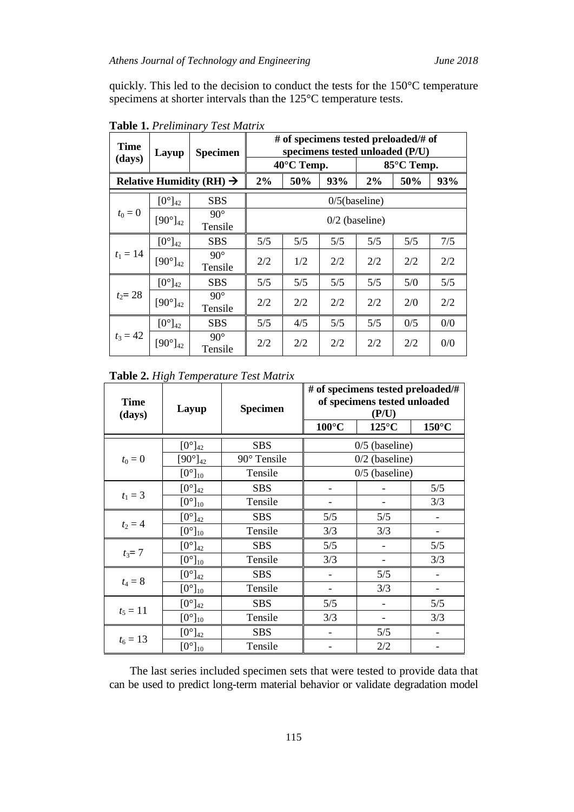quickly. This led to the decision to conduct the tests for the 150°C temperature specimens at shorter intervals than the 125°C temperature tests.

| <b>Time</b> | Layup               | <b>Specimen</b>                      |     | # of specimens tested preloaded/# of<br>specimens tested unloaded (P/U) |                  |                  |            |     |  |  |  |  |
|-------------|---------------------|--------------------------------------|-----|-------------------------------------------------------------------------|------------------|------------------|------------|-----|--|--|--|--|
| (days)      |                     |                                      |     | $40^{\circ}$ C Temp.                                                    |                  |                  | 85°C Temp. |     |  |  |  |  |
|             |                     | Relative Humidity (RH) $\rightarrow$ | 2%  | 50%                                                                     | 93%              | 2%               | 50%        | 93% |  |  |  |  |
|             | $[0^{\circ}]_{42}$  | <b>SBS</b>                           |     |                                                                         | $0/5$ (baseline) |                  |            |     |  |  |  |  |
| $t_0 = 0$   | $[90^\circ]_{42}$   | $90^\circ$<br>Tensile                |     |                                                                         |                  | $0/2$ (baseline) |            |     |  |  |  |  |
|             | $[0^{\circ}]_{42}$  | <b>SBS</b>                           | 5/5 | 5/5                                                                     | 5/5              | 5/5              | 5/5        | 7/5 |  |  |  |  |
| $t_1 = 14$  | $[90^\circ]_{42}$   | $90^{\circ}$<br>Tensile              | 2/2 | 1/2                                                                     | 2/2              | 2/2              | 2/2        | 2/2 |  |  |  |  |
|             | $[0^\circ]_{42}$    | <b>SBS</b>                           | 5/5 | 5/5                                                                     | 5/5              | 5/5              | 5/0        | 5/5 |  |  |  |  |
| $t_2 = 28$  | $[90^{\circ}]_{42}$ | $90^\circ$<br>Tensile                | 2/2 | 2/2                                                                     | 2/2              | 2/2              | 2/0        | 2/2 |  |  |  |  |
|             | $[0^\circ]_{42}$    | <b>SBS</b>                           | 5/5 | 4/5                                                                     | 5/5              | 5/5              | 0/5        | 0/0 |  |  |  |  |
| $t_3 = 42$  | $[90^\circ]_{42}$   | $90^\circ$<br>Tensile                | 2/2 | 2/2                                                                     | 2/2              | 2/2              | 2/2        | 0/0 |  |  |  |  |

**Table 1.** *Preliminary Test Matrix*

| <b>Time</b><br>(days) | Layup               | <b>Specimen</b> |                 | # of specimens tested preloaded/#<br>of specimens tested unloaded<br>(P/U) |                 |  |  |  |  |  |
|-----------------------|---------------------|-----------------|-----------------|----------------------------------------------------------------------------|-----------------|--|--|--|--|--|
|                       |                     |                 | $100^{\circ}$ C | $125^{\circ}$ C                                                            | $150^{\circ}$ C |  |  |  |  |  |
|                       | $[0^{\circ}]_{42}$  | <b>SBS</b>      |                 | $0/5$ (baseline)                                                           |                 |  |  |  |  |  |
| $t_0 = 0$             | $[90^{\circ}]_{42}$ | 90° Tensile     |                 | $0/2$ (baseline)                                                           |                 |  |  |  |  |  |
|                       | $[0^{\circ}]_{10}$  | Tensile         |                 | $0/5$ (baseline)                                                           |                 |  |  |  |  |  |
|                       | $[0^{\circ}]_{42}$  | <b>SBS</b>      |                 |                                                                            | 5/5             |  |  |  |  |  |
| $t_1 = 3$             | $[0^{\circ}]_{10}$  | Tensile         |                 |                                                                            | 3/3             |  |  |  |  |  |
|                       | $[0^{\circ}]_{42}$  | <b>SBS</b>      | 5/5             | 5/5                                                                        |                 |  |  |  |  |  |
| $t_2 = 4$             | $[0^{\circ}]_{10}$  | Tensile         | 3/3             | 3/3                                                                        |                 |  |  |  |  |  |
|                       | $[0^{\circ}]_{42}$  | <b>SBS</b>      | 5/5             |                                                                            | 5/5             |  |  |  |  |  |
| $t_3 = 7$             | $[0^{\circ}]_{10}$  | Tensile         | 3/3             |                                                                            | 3/3             |  |  |  |  |  |
|                       | $[0^{\circ}]_{42}$  | <b>SBS</b>      |                 | 5/5                                                                        |                 |  |  |  |  |  |
| $t_4 = 8$             | $[0^{\circ}]_{10}$  | Tensile         |                 | 3/3                                                                        |                 |  |  |  |  |  |
|                       | $[0^{\circ}]_{42}$  | <b>SBS</b>      | 5/5             |                                                                            | 5/5             |  |  |  |  |  |
| $t_5 = 11$            | $[0^{\circ}]_{10}$  | Tensile         | 3/3             |                                                                            | 3/3             |  |  |  |  |  |
|                       | $[0^{\circ}]_{42}$  | <b>SBS</b>      |                 | 5/5                                                                        |                 |  |  |  |  |  |
| $t_6 = 13$            | $[0^{\circ}]_{10}$  | Tensile         |                 | 2/2                                                                        |                 |  |  |  |  |  |

The last series included specimen sets that were tested to provide data that can be used to predict long-term material behavior or validate degradation model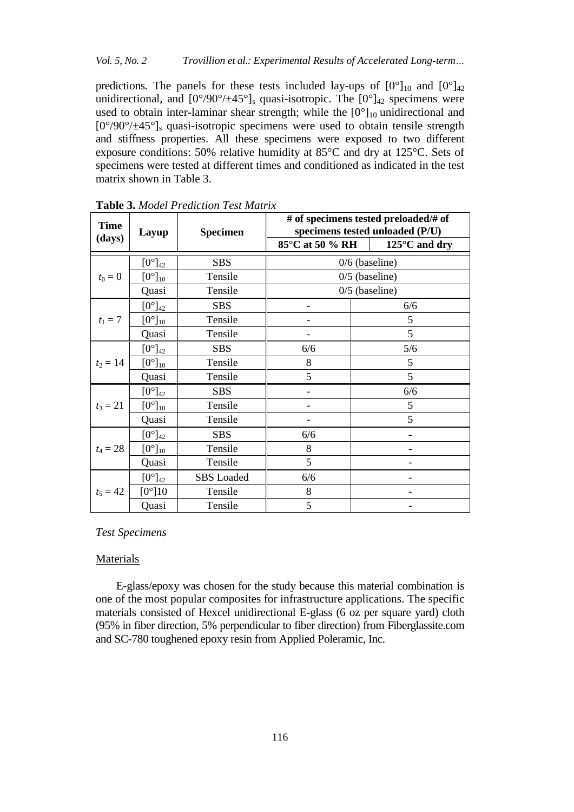## *Vol. 5, No. 2 Trovillion et al.: Experimental Results of Accelerated Long-term…*

predictions. The panels for these tests included lay-ups of  $[0^{\circ}]_{10}$  and  $[0^{\circ}]_{42}$ unidirectional, and  $[0^{\circ}/90^{\circ}/\pm 45^{\circ}]_s$  quasi-isotropic. The  $[0^{\circ}]_{42}$  specimens were used to obtain inter-laminar shear strength; while the  $[0^{\circ}]_{10}$  unidirectional and  $[0^{\circ}/90^{\circ}/\pm 45^{\circ}]_s$  quasi-isotropic specimens were used to obtain tensile strength and stiffness properties. All these specimens were exposed to two different exposure conditions: 50% relative humidity at 85°C and dry at 125°C. Sets of specimens were tested at different times and conditioned as indicated in the test matrix shown in Table 3.

| <b>Time</b> | Layup              | <b>Specimen</b>   |                 | # of specimens tested preloaded/# of<br>specimens tested unloaded (P/U) |
|-------------|--------------------|-------------------|-----------------|-------------------------------------------------------------------------|
| (days)      |                    |                   | 85°C at 50 % RH | $125^{\circ}$ C and dry                                                 |
|             | $[0^{\circ}]_{42}$ | <b>SBS</b>        |                 | $0/6$ (baseline)                                                        |
| $t_0 = 0$   | $[0^{\circ}]_{10}$ | Tensile           |                 | $0/5$ (baseline)                                                        |
|             | Quasi              | Tensile           |                 | $0/5$ (baseline)                                                        |
|             | $[0^{\circ}]_{42}$ | <b>SBS</b>        |                 | 6/6                                                                     |
| $t_1 = 7$   | $[0^{\circ}]_{10}$ | Tensile           |                 | 5                                                                       |
|             | Quasi              | Tensile           |                 | 5                                                                       |
|             | $[0^{\circ}]_{42}$ | <b>SBS</b>        | 6/6             | 5/6                                                                     |
| $t_2 = 14$  | $[0^{\circ}]_{10}$ | Tensile           | 8               | 5                                                                       |
|             | Quasi              | Tensile           | 5               | 5                                                                       |
|             | $[0^{\circ}]_{42}$ | <b>SBS</b>        |                 | 6/6                                                                     |
| $t_3 = 21$  | $[0^{\circ}]_{10}$ | Tensile           |                 | 5                                                                       |
|             | Quasi              | Tensile           |                 | 5                                                                       |
|             | $[0^{\circ}]_{42}$ | <b>SBS</b>        | 6/6             |                                                                         |
| $t_4 = 28$  | $[0^{\circ}]_{10}$ | Tensile           | 8               |                                                                         |
|             | Quasi              | Tensile           | 5               |                                                                         |
|             | $[0^{\circ}]_{42}$ | <b>SBS</b> Loaded | 6/6             |                                                                         |
| $t_5 = 42$  | $[0^{\circ}]10$    | Tensile           | 8               |                                                                         |
|             | Quasi              | Tensile           | 5               |                                                                         |

**Table 3.** *Model Prediction Test Matrix*

## *Test Specimens*

#### Materials

E-glass/epoxy was chosen for the study because this material combination is one of the most popular composites for infrastructure applications. The specific materials consisted of Hexcel unidirectional E-glass (6 oz per square yard) cloth (95% in fiber direction, 5% perpendicular to fiber direction) from Fiberglassite.com and SC-780 toughened epoxy resin from Applied Poleramic, Inc.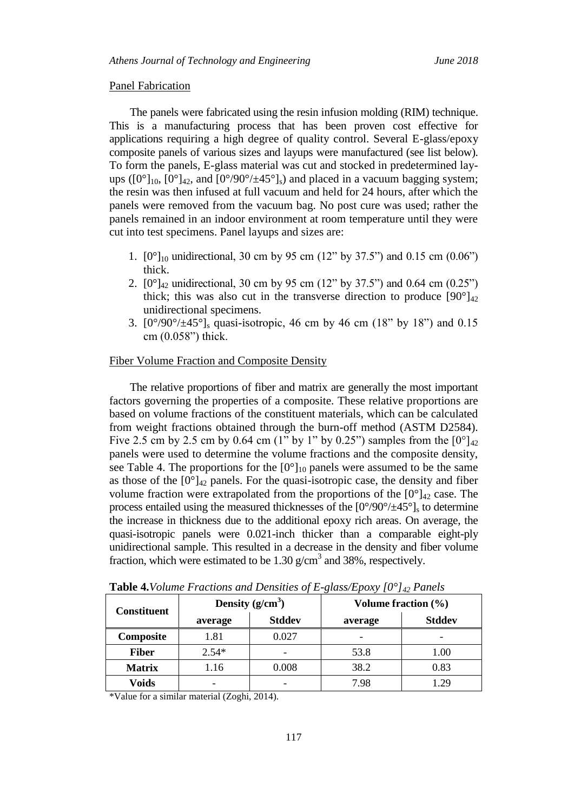#### Panel Fabrication

The panels were fabricated using the resin infusion molding (RIM) technique. This is a manufacturing process that has been proven cost effective for applications requiring a high degree of quality control. Several E-glass/epoxy composite panels of various sizes and layups were manufactured (see list below). To form the panels, E-glass material was cut and stocked in predetermined layups ( $[0^\circ]_{10}$ ,  $[0^\circ]_{42}$ , and  $[0^\circ/90^\circ/\pm 45^\circ]_s$ ) and placed in a vacuum bagging system; the resin was then infused at full vacuum and held for 24 hours, after which the panels were removed from the vacuum bag. No post cure was used; rather the panels remained in an indoor environment at room temperature until they were cut into test specimens. Panel layups and sizes are:

- 1.  $[0^{\circ}]_{10}$  unidirectional, 30 cm by 95 cm (12" by 37.5") and 0.15 cm (0.06") thick.
- 2.  $[0^{\circ}]_{42}$  unidirectional, 30 cm by 95 cm (12" by 37.5") and 0.64 cm (0.25") thick; this was also cut in the transverse direction to produce  $[90^\circ]_{42}$ unidirectional specimens.
- 3.  $[0^{\circ}/90^{\circ}/\pm 45^{\circ}]$ <sub>s</sub> quasi-isotropic, 46 cm by 46 cm (18" by 18") and 0.15 cm (0.058") thick.

#### Fiber Volume Fraction and Composite Density

The relative proportions of fiber and matrix are generally the most important factors governing the properties of a composite. These relative proportions are based on volume fractions of the constituent materials, which can be calculated from weight fractions obtained through the burn-off method (ASTM D2584). Five 2.5 cm by 2.5 cm by 0.64 cm (1" by 1" by 0.25") samples from the  $[0^{\circ}]_{42}$ panels were used to determine the volume fractions and the composite density, see Table 4. The proportions for the  $[0^{\circ}]_{10}$  panels were assumed to be the same as those of the  $[0^{\circ}]_{42}$  panels. For the quasi-isotropic case, the density and fiber volume fraction were extrapolated from the proportions of the  $[0^{\circ}]_{42}$  case. The process entailed using the measured thicknesses of the  $[0^{\circ}/90^{\circ}/\pm 45^{\circ}]_s$  to determine the increase in thickness due to the additional epoxy rich areas. On average, the quasi-isotropic panels were 0.021-inch thicker than a comparable eight-ply unidirectional sample. This resulted in a decrease in the density and fiber volume fraction, which were estimated to be  $1.30$  g/cm<sup>3</sup> and 38%, respectively.

| <b>Constituent</b> |         | Density $(g/cm^3)$ | Volume fraction (%)                                                         |  |  |  |  |
|--------------------|---------|--------------------|-----------------------------------------------------------------------------|--|--|--|--|
|                    | average | <b>Stddev</b>      | $\cdot$<br><b>Stddev</b><br>average<br>53.8<br>1.00<br>38.2<br>0.83<br>7.98 |  |  |  |  |
| Composite          | 1.81    | 0.027              |                                                                             |  |  |  |  |
| <b>Fiber</b>       | $2.54*$ |                    |                                                                             |  |  |  |  |
| <b>Matrix</b>      | 1.16    | 0.008              |                                                                             |  |  |  |  |
| Voids              |         |                    |                                                                             |  |  |  |  |

**Table 4.***Volume Fractions and Densities of E-glass/Epoxy [0°]<sup>42</sup> Panels*

\*Value for a similar material (Zoghi, 2014).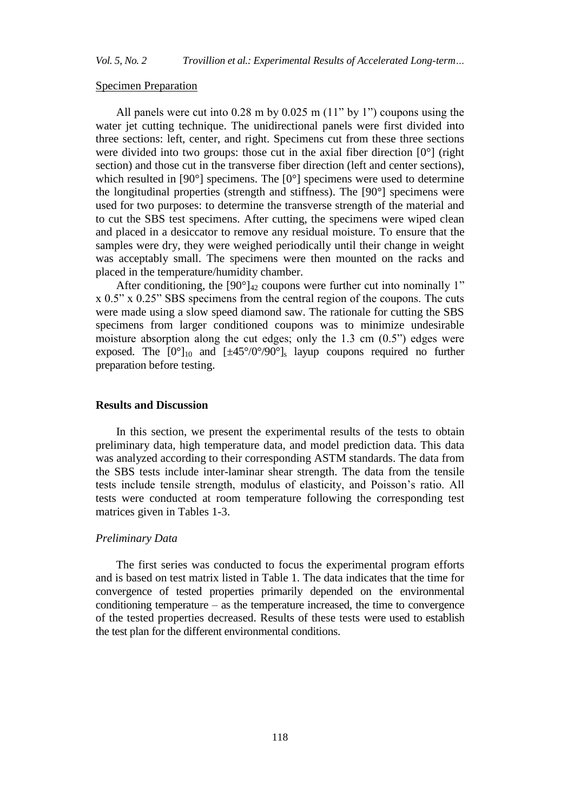#### Specimen Preparation

All panels were cut into 0.28 m by 0.025 m (11" by 1") coupons using the water jet cutting technique. The unidirectional panels were first divided into three sections: left, center, and right. Specimens cut from these three sections were divided into two groups: those cut in the axial fiber direction  $[0^{\circ}]$  (right section) and those cut in the transverse fiber direction (left and center sections), which resulted in [90°] specimens. The [0°] specimens were used to determine the longitudinal properties (strength and stiffness). The [90°] specimens were used for two purposes: to determine the transverse strength of the material and to cut the SBS test specimens. After cutting, the specimens were wiped clean and placed in a desiccator to remove any residual moisture. To ensure that the samples were dry, they were weighed periodically until their change in weight was acceptably small. The specimens were then mounted on the racks and placed in the temperature/humidity chamber.

After conditioning, the  $[90^\circ]_{42}$  coupons were further cut into nominally 1" x 0.5" x 0.25" SBS specimens from the central region of the coupons. The cuts were made using a slow speed diamond saw. The rationale for cutting the SBS specimens from larger conditioned coupons was to minimize undesirable moisture absorption along the cut edges; only the 1.3 cm (0.5") edges were exposed. The  $[0^{\circ}]_{10}$  and  $[\pm 45^{\circ}/0^{\circ}/90^{\circ}]_{s}$  layup coupons required no further preparation before testing.

## **Results and Discussion**

In this section, we present the experimental results of the tests to obtain preliminary data, high temperature data, and model prediction data. This data was analyzed according to their corresponding ASTM standards. The data from the SBS tests include inter-laminar shear strength. The data from the tensile tests include tensile strength, modulus of elasticity, and Poisson's ratio. All tests were conducted at room temperature following the corresponding test matrices given in Tables 1-3.

#### *Preliminary Data*

The first series was conducted to focus the experimental program efforts and is based on test matrix listed in Table 1. The data indicates that the time for convergence of tested properties primarily depended on the environmental conditioning temperature – as the temperature increased, the time to convergence of the tested properties decreased. Results of these tests were used to establish the test plan for the different environmental conditions.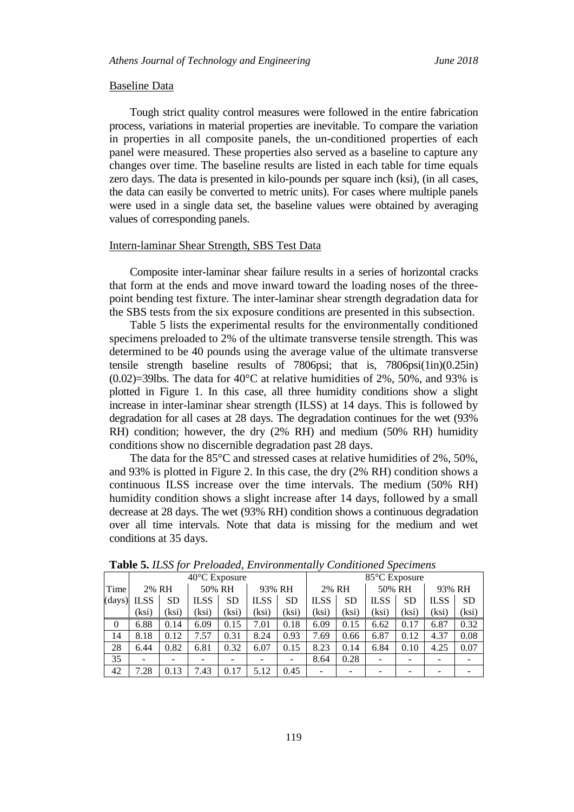#### Baseline Data

Tough strict quality control measures were followed in the entire fabrication process, variations in material properties are inevitable. To compare the variation in properties in all composite panels, the un-conditioned properties of each panel were measured. These properties also served as a baseline to capture any changes over time. The baseline results are listed in each table for time equals zero days. The data is presented in kilo-pounds per square inch (ksi), (in all cases, the data can easily be converted to metric units). For cases where multiple panels were used in a single data set, the baseline values were obtained by averaging values of corresponding panels.

#### Intern-laminar Shear Strength, SBS Test Data

Composite inter-laminar shear failure results in a series of horizontal cracks that form at the ends and move inward toward the loading noses of the threepoint bending test fixture. The inter-laminar shear strength degradation data for the SBS tests from the six exposure conditions are presented in this subsection.

Table 5 lists the experimental results for the environmentally conditioned specimens preloaded to 2% of the ultimate transverse tensile strength. This was determined to be 40 pounds using the average value of the ultimate transverse tensile strength baseline results of 7806psi; that is, 7806psi(1in)(0.25in)  $(0.02)$ =39lbs. The data for 40<sup>o</sup>C at relative humidities of 2%, 50%, and 93% is plotted in Figure 1. In this case, all three humidity conditions show a slight increase in inter-laminar shear strength (ILSS) at 14 days. This is followed by degradation for all cases at 28 days. The degradation continues for the wet (93% RH) condition; however, the dry (2% RH) and medium (50% RH) humidity conditions show no discernible degradation past 28 days.

The data for the 85°C and stressed cases at relative humidities of 2%, 50%, and 93% is plotted in Figure 2. In this case, the dry (2% RH) condition shows a continuous ILSS increase over the time intervals. The medium (50% RH) humidity condition shows a slight increase after 14 days, followed by a small decrease at 28 days. The wet (93% RH) condition shows a continuous degradation over all time intervals. Note that data is missing for the medium and wet conditions at 35 days.

|          | 40°C Exposure |      |             |           |             |           |             | 85°C Exposure |             |           |             |           |  |
|----------|---------------|------|-------------|-----------|-------------|-----------|-------------|---------------|-------------|-----------|-------------|-----------|--|
| Time     | 2% RH         |      | 50% RH      |           | 93% RH      |           | 2% RH       |               | 50% RH      |           | 93% RH      |           |  |
| (days)   | <b>ILSS</b>   | SD   | <b>ILSS</b> | <b>SD</b> | <b>ILSS</b> | <b>SD</b> | <b>ILSS</b> | <b>SD</b>     | <b>ILSS</b> | <b>SD</b> | <b>ILSS</b> | <b>SD</b> |  |
|          | ksi)          | ksi) | ksi)        | ksi)      | (ksi)       | (ksi)     | (ksi        | (ksi)         | (ksi)       | (ksi)     | (ksi)       | (ksi)     |  |
| $\theta$ | 6.88          | 0.14 | 6.09        | 0.15      | 7.01        | 0.18      | 6.09        | 0.15          | 6.62        | 0.17      | 6.87        | 0.32      |  |
| 14       | 8.18          | 0.12 | 7.57        | 0.31      | 8.24        | 0.93      | 7.69        | 0.66          | 6.87        | 0.12      | 4.37        | 0.08      |  |
| 28       | 6.44          | 0.82 | 6.81        | 0.32      | 6.07        | 0.15      | 8.23        | 0.14          | 6.84        | 0.10      | 4.25        | 0.07      |  |
| 35       |               |      |             |           |             |           | 8.64        | 0.28          |             |           |             |           |  |
| 42       | 7.28          | 0.13 | .43         | 0.17      | 5.12        | 0.45      |             |               |             |           |             |           |  |

**Table 5.** *ILSS for Preloaded, Environmentally Conditioned Specimens*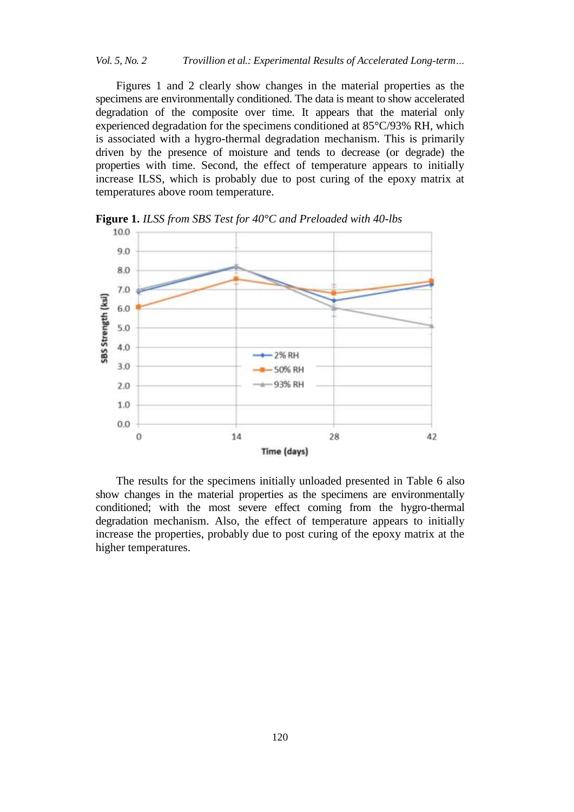Figures 1 and 2 clearly show changes in the material properties as the specimens are environmentally conditioned. The data is meant to show accelerated degradation of the composite over time. It appears that the material only experienced degradation for the specimens conditioned at 85°C/93% RH, which is associated with a hygro-thermal degradation mechanism. This is primarily driven by the presence of moisture and tends to decrease (or degrade) the properties with time. Second, the effect of temperature appears to initially increase ILSS, which is probably due to post curing of the epoxy matrix at temperatures above room temperature.



**Figure 1.** *ILSS from SBS Test for 40°C and Preloaded with 40-lbs*

The results for the specimens initially unloaded presented in Table 6 also show changes in the material properties as the specimens are environmentally conditioned; with the most severe effect coming from the hygro-thermal degradation mechanism. Also, the effect of temperature appears to initially increase the properties, probably due to post curing of the epoxy matrix at the higher temperatures.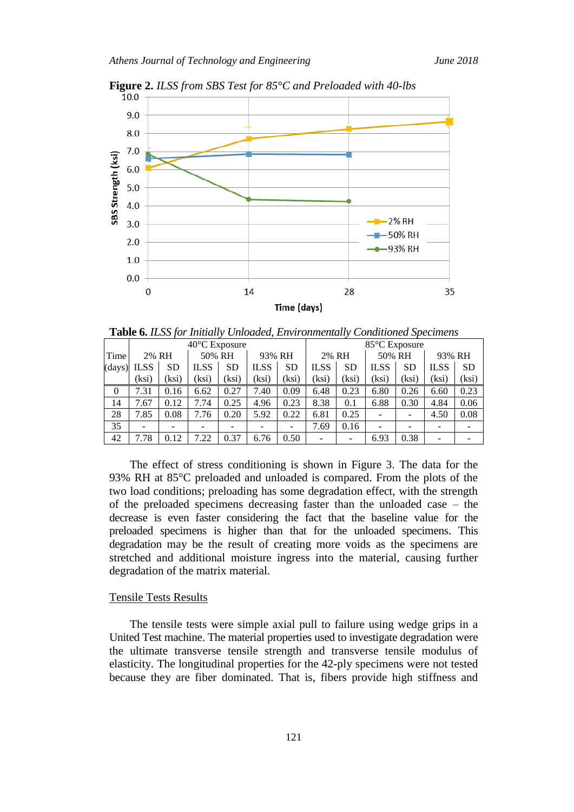

**Figure 2.** *ILSS from SBS Test for 85°C and Preloaded with 40-lbs*

**Table 6.** *ILSS for Initially Unloaded, Environmentally Conditioned Specimens*

|          |             |           | 40°C Exposure |                  |             |           | 85°C Exposure |                 |             |           |             |           |
|----------|-------------|-----------|---------------|------------------|-------------|-----------|---------------|-----------------|-------------|-----------|-------------|-----------|
| Time     | 2% RH       |           |               | 50% RH<br>93% RH |             |           | 2% RH         |                 | 50% RH      |           | 93% RH      |           |
| (days)   | <b>ILSS</b> | <b>SD</b> | <b>ILSS</b>   | SD               | <b>ILSS</b> | <b>SD</b> | <b>ILSS</b>   | <b>SD</b>       | <b>ILSS</b> | <b>SD</b> | <b>ILSS</b> | <b>SD</b> |
|          | ksi)        | ksi)      | (ksi)         | (ksi)            | (ksi        | (ksi)     | ksi)          | (ksi)           | (ksi)       | (ksi)     | (ksi)       | (ksi)     |
| $\theta$ | 7.31        | 0.16      | 6.62          | 0.27             | 7.40        | 0.09      | 6.48          | 0.23            | 6.80        | 0.26      | 6.60        | 0.23      |
| 14       | 1.67        | 0.12      | 7.74          | 0.25             | 4.96        | 0.23      | 8.38          | 0.1             | 6.88        | 0.30      | 4.84        | 0.06      |
| 28       | 7.85        | 0.08      | 7.76          | 0.20             | 5.92        | 0.22      | 6.81          | 0.25            |             |           | 4.50        | 0.08      |
| 35       |             |           |               |                  |             |           | 7.69          | 0.16            |             |           |             |           |
| 42       | .78         | 0.12      | 7.22          | 0.37             | 6.76        | 0.50      | -             | $\qquad \qquad$ | 6.93        | 0.38      |             |           |

The effect of stress conditioning is shown in Figure 3. The data for the 93% RH at 85°C preloaded and unloaded is compared. From the plots of the two load conditions; preloading has some degradation effect, with the strength of the preloaded specimens decreasing faster than the unloaded case – the decrease is even faster considering the fact that the baseline value for the preloaded specimens is higher than that for the unloaded specimens. This degradation may be the result of creating more voids as the specimens are stretched and additional moisture ingress into the material, causing further degradation of the matrix material.

## Tensile Tests Results

The tensile tests were simple axial pull to failure using wedge grips in a United Test machine. The material properties used to investigate degradation were the ultimate transverse tensile strength and transverse tensile modulus of elasticity. The longitudinal properties for the 42-ply specimens were not tested because they are fiber dominated. That is, fibers provide high stiffness and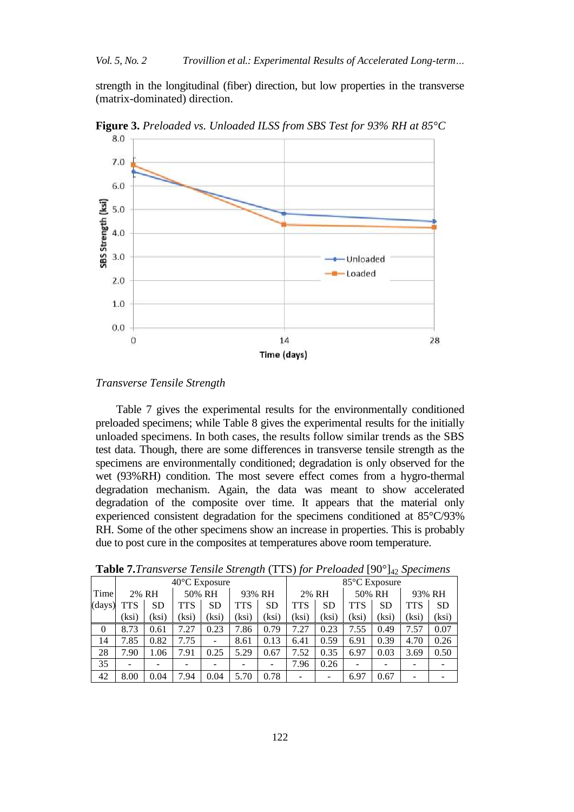strength in the longitudinal (fiber) direction, but low properties in the transverse (matrix-dominated) direction.



**Figure 3.** *Preloaded vs. Unloaded ILSS from SBS Test for 93% RH at 85°C*

## *Transverse Tensile Strength*

Table 7 gives the experimental results for the environmentally conditioned preloaded specimens; while Table 8 gives the experimental results for the initially unloaded specimens. In both cases, the results follow similar trends as the SBS test data. Though, there are some differences in transverse tensile strength as the specimens are environmentally conditioned; degradation is only observed for the wet (93%RH) condition. The most severe effect comes from a hygro-thermal degradation mechanism. Again, the data was meant to show accelerated degradation of the composite over time. It appears that the material only experienced consistent degradation for the specimens conditioned at 85°C/93% RH. Some of the other specimens show an increase in properties. This is probably due to post cure in the composites at temperatures above room temperature.

|                |            |           | $40^{\circ}$ C Exposure |           | $\cdot$    |           | 85°C Exposure |           |            |           |            |           |
|----------------|------------|-----------|-------------------------|-----------|------------|-----------|---------------|-----------|------------|-----------|------------|-----------|
| Time           |            | 2% RH     |                         | 50% RH    |            | 93% RH    |               | 2% RH     |            | 50% RH    |            | 93% RH    |
| (days)         | <b>TTS</b> | <b>SD</b> | <b>TTS</b>              | <b>SD</b> | <b>TTS</b> | <b>SD</b> | <b>TTS</b>    | <b>SD</b> | <b>TTS</b> | <b>SD</b> | <b>TTS</b> | <b>SD</b> |
|                | (ksi)      | (ksi)     | ksi)                    | (ksi)     | (ksi)      | (ksi)     | (ksi)         | (ksi)     | (ksi)      | (ksi)     | (ksi)      | (ksi)     |
| $\overline{0}$ | 8.73       | 0.61      | .27                     | 0.23      | 7.86       | 0.79      | 7.27          | 0.23      | 7.55       | 0.49      | 7.57       | 0.07      |
| 14             | 7.85       | 0.82      | 7.75                    | ۰         | 8.61       | 0.13      | 6.41          | 0.59      | 6.91       | 0.39      | 4.70       | 0.26      |
| 28             | 7.90       | 1.06      | 7.91                    | 0.25      | 5.29       | 0.67      | 7.52          | 0.35      | 6.97       | 0.03      | 3.69       | 0.50      |
| 35             |            |           |                         |           |            |           | 7.96          | 0.26      | -          |           |            |           |
| 42             | 8.00       | 0.04      | 7.94                    | 0.04      | 5.70       | 0.78      |               |           | 6.97       | 0.67      |            |           |

**Table 7.***Transverse Tensile Strength* (TTS) *for Preloaded* [90°]<sup>42</sup> *Specimens*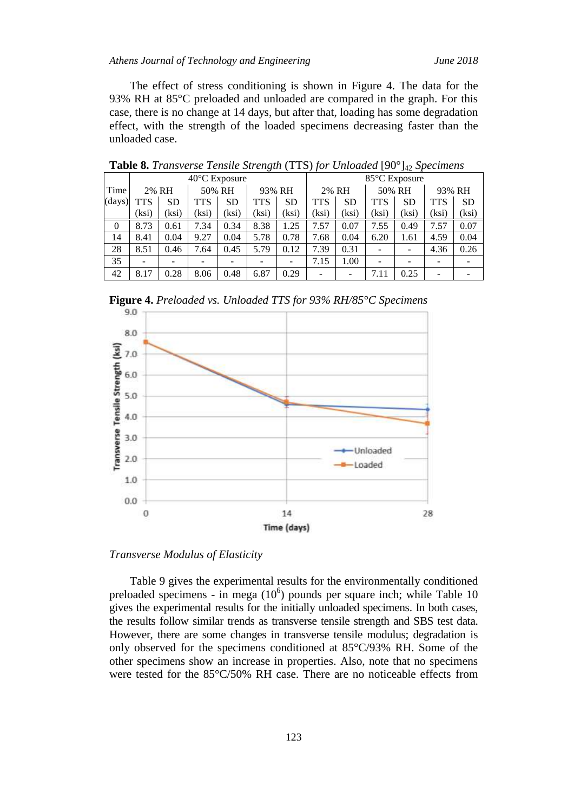The effect of stress conditioning is shown in Figure 4. The data for the 93% RH at 85°C preloaded and unloaded are compared in the graph. For this case, there is no change at 14 days, but after that, loading has some degradation effect, with the strength of the loaded specimens decreasing faster than the unloaded case.

|              |       |           |      | $40^{\circ}$ C Exposure |            |           | 85°C Exposure |           |            |           |            |           |
|--------------|-------|-----------|------|-------------------------|------------|-----------|---------------|-----------|------------|-----------|------------|-----------|
| Time         |       | 2% RH     |      | 50% RH                  |            | 93% RH    |               | 2% RH     |            | 50% RH    | 93% RH     |           |
| (days)       | TTS   | <b>SD</b> | TTS  | <b>SD</b>               | <b>TTS</b> | <b>SD</b> | <b>TTS</b>    | <b>SD</b> | <b>TTS</b> | <b>SD</b> | <b>TTS</b> | <b>SD</b> |
|              | (ksi) | (ksi)     | ksi) | (ksi)                   | (ksi)      | (ksi)     | (ksi)         | (ksi)     | (ksi)      | (ksi)     | (ksi)      | (ksi)     |
| $\mathbf{0}$ | 8.73  | 0.61      | 7.34 | 0.34                    | 8.38       | 1.25      | 7.57          | 0.07      | 7.55       | 0.49      | 7.57       | 0.07      |
| 14           | 8.41  | 0.04      | 9.27 | 0.04                    | 5.78       | 0.78      | 7.68          | 0.04      | 6.20       | 1.61      | 4.59       | 0.04      |
| 28           | 8.51  | 0.46      | .64  | 0.45                    | 5.79       | 0.12      | 7.39          | 0.31      | ۰          |           | 4.36       | 0.26      |
| 35           |       |           |      |                         |            |           | 7.15          | 1.00      | -          |           |            |           |
| 42           | 8.17  | 0.28      | 8.06 | 0.48                    | 6.87       | 0.29      |               |           | 7.11       | 0.25      |            |           |

**Table 8.** *Transverse Tensile Strength* (TTS) *for Unloaded* [90°]<sup>42</sup> *Specimens*

**Figure 4.** *Preloaded vs. Unloaded TTS for 93% RH/85°C Specimens*



### *Transverse Modulus of Elasticity*

Table 9 gives the experimental results for the environmentally conditioned preloaded specimens - in mega  $(10^6)$  pounds per square inch; while Table 10 gives the experimental results for the initially unloaded specimens. In both cases, the results follow similar trends as transverse tensile strength and SBS test data. However, there are some changes in transverse tensile modulus; degradation is only observed for the specimens conditioned at 85°C/93% RH. Some of the other specimens show an increase in properties. Also, note that no specimens were tested for the 85°C/50% RH case. There are no noticeable effects from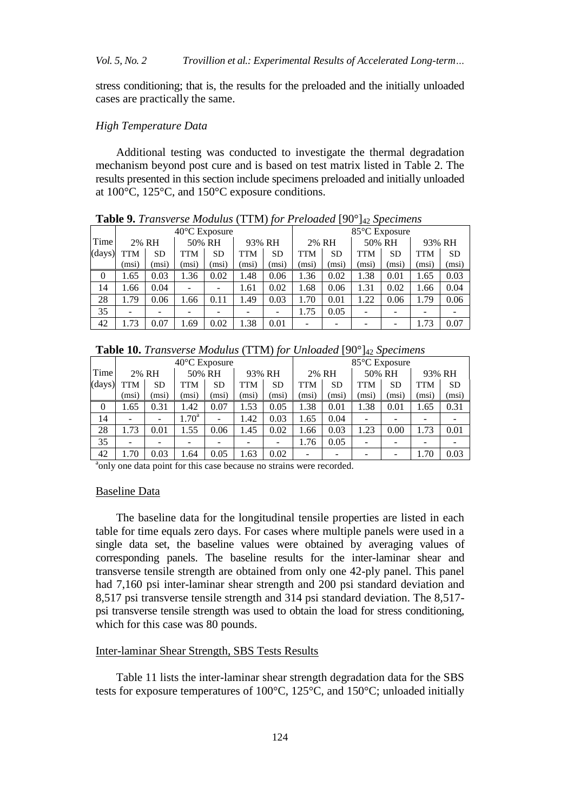stress conditioning; that is, the results for the preloaded and the initially unloaded cases are practically the same.

## *High Temperature Data*

Additional testing was conducted to investigate the thermal degradation mechanism beyond post cure and is based on test matrix listed in Table 2. The results presented in this section include specimens preloaded and initially unloaded at 100°C, 125°C, and 150°C exposure conditions.

|          |            |       |       |                         |        |           | <b>Table</b> 2. Transverse mountais (TTM) for Tretouted for $\frac{4}{2}$ operations |           |            |           |       |        |
|----------|------------|-------|-------|-------------------------|--------|-----------|--------------------------------------------------------------------------------------|-----------|------------|-----------|-------|--------|
|          |            |       |       | $40^{\circ}$ C Exposure |        |           | 85°C Exposure                                                                        |           |            |           |       |        |
| Time     |            | 2% RH |       | 50% RH                  | 93% RH |           |                                                                                      | 2% RH     |            | 50% RH    |       | 93% RH |
| (days)   | <b>TTM</b> | SD    | TTM   | <b>SD</b>               | TTM    | <b>SD</b> | <b>TTM</b>                                                                           | <b>SD</b> | <b>TTM</b> | <b>SD</b> | TTM   | SD     |
|          | (msi)      | (msi) | (msi) | (msi)                   | (msi)  | (msi)     | (msi)                                                                                | (msi)     | (msi)      | (msi)     | (msi) | (msi)  |
| $\theta$ | 1.65       | 0.03  | 1.36  | 0.02                    | 1.48   | 0.06      | 1.36                                                                                 | 0.02      | 1.38       | 0.01      | 1.65  | 0.03   |
| 14       | 1.66       | 0.04  |       |                         | 1.61   | 0.02      | 1.68                                                                                 | 0.06      | 1.31       | 0.02      | 1.66  | 0.04   |
| 28       | 1.79       | 0.06  | .66   | 0.11                    | 1.49   | 0.03      | 1.70                                                                                 | 0.01      | 1.22       | 0.06      | 1.79  | 0.06   |
| 35       |            |       |       |                         |        |           | 1.75                                                                                 | 0.05      |            |           |       |        |
| 42       | 1.73       | 0.07  | .69   | 0.02                    | 1.38   | 0.01      |                                                                                      |           |            |           | 1.73  | 0.07   |

**Table 9.** *Transverse Modulus* (TTM) *for Preloaded* [90°]<sup>42</sup> *Specimens*

| Table 10. Transverse Modulus (TTM) for Unloaded [90°] <sub>42</sub> Specimens |  |  |
|-------------------------------------------------------------------------------|--|--|
|-------------------------------------------------------------------------------|--|--|

|          |                 |           | 40°C Exposure    |           |       | $\prime$ $\prime$ |            | . .       | - -        | 85°C Exposure |      |       |
|----------|-----------------|-----------|------------------|-----------|-------|-------------------|------------|-----------|------------|---------------|------|-------|
| Time     | 2% RH<br>50% RH |           |                  | 93% RH    |       | 2% RH             |            |           | 50% RH     | 93% RH        |      |       |
| (days)   | <b>TTM</b>      | <b>SD</b> | TTM              | <b>SD</b> | TTM   | <b>SD</b>         | <b>TTM</b> | <b>SD</b> | <b>TTM</b> | <b>SD</b>     | TTM  | SD    |
|          | (msi)           | (msi)     | (msi)            | (msi)     | (msi) | (msi              | (msi)      | (msi)     | (msi)      | (msi)         | (msi | (msi) |
| $\theta$ | 1.65            | 0.31      | .42              | 0.07      | 1.53  | 0.05              | .38        | 0.01      | 1.38       | 0.01          | 1.65 | 0.31  |
| 14       |                 |           | .70 <sup>a</sup> |           | 1.42  | 0.03              | 1.65       | 0.04      |            |               |      |       |
| 28       | 1.73            | 0.01      | 1.55             | 0.06      | 1.45  | 0.02              | 1.66       | 0.03      | 1.23       | 0.00          | 1.73 | 0.01  |
| 35       |                 |           |                  |           |       |                   | 1.76       | 0.05      |            |               |      |       |
| 42       | l.70            | 0.03      | .64              | 0.05      | 1.63  | 0.02              |            |           |            |               | 1.70 | 0.03  |

<sup>a</sup>only one data point for this case because no strains were recorded.

## Baseline Data

The baseline data for the longitudinal tensile properties are listed in each table for time equals zero days. For cases where multiple panels were used in a single data set, the baseline values were obtained by averaging values of corresponding panels. The baseline results for the inter-laminar shear and transverse tensile strength are obtained from only one 42-ply panel. This panel had 7,160 psi inter-laminar shear strength and 200 psi standard deviation and 8,517 psi transverse tensile strength and 314 psi standard deviation. The 8,517 psi transverse tensile strength was used to obtain the load for stress conditioning, which for this case was 80 pounds.

# Inter-laminar Shear Strength, SBS Tests Results

Table 11 lists the inter-laminar shear strength degradation data for the SBS tests for exposure temperatures of 100°C, 125°C, and 150°C; unloaded initially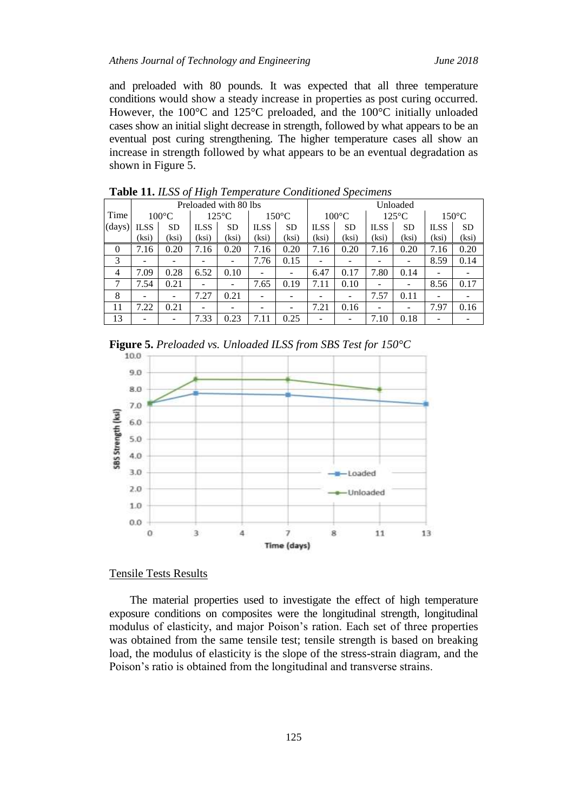and preloaded with 80 pounds. It was expected that all three temperature conditions would show a steady increase in properties as post curing occurred. However, the 100°C and 125°C preloaded, and the 100°C initially unloaded cases show an initial slight decrease in strength, followed by what appears to be an eventual post curing strengthening. The higher temperature cases all show an increase in strength followed by what appears to be an eventual degradation as shown in Figure 5.

|                |             |                 |                 | Preloaded with 80 lbs |             |                 | Unloaded    |                          |             |                 |             |                 |  |
|----------------|-------------|-----------------|-----------------|-----------------------|-------------|-----------------|-------------|--------------------------|-------------|-----------------|-------------|-----------------|--|
| Time           |             | $100^{\circ}$ C |                 | $125^{\circ}$ C       |             | $150^{\circ}$ C |             | $100^{\circ}$ C          |             | $125^{\circ}$ C |             | $150^{\circ}$ C |  |
| (days)         | <b>ILSS</b> | <b>SD</b>       | <b>ILSS</b>     | <b>SD</b>             | <b>ILSS</b> | <b>SD</b>       | <b>ILSS</b> | <b>SD</b>                | <b>ILSS</b> | <b>SD</b>       | <b>ILSS</b> | <b>SD</b>       |  |
|                | (ksi)       | (ksi)           | (ksi)           | (ksi)                 | (ksi)       | (ksi)           | (ksi)       | (ksi)                    | (ksi)       | (ksi)           | (ksi)       | (ksi)           |  |
| $\Omega$       | 7.16        | 0.20            | 7.16            | 0.20                  | 7.16        | 0.20            | 7.16        | 0.20                     | 7.16        | 0.20            | 7.16        | 0.20            |  |
| 3              |             |                 |                 | -                     | 7.76        | 0.15            |             |                          |             |                 | 8.59        | 0.14            |  |
| $\overline{4}$ | 7.09        | 0.28            | 6.52            | 0.10                  |             |                 | 6.47        | 0.17                     | 7.80        | 0.14            |             |                 |  |
| 7              | 7.54        | 0.21            |                 | -                     | 7.65        | 0.19            | 7.11        | 0.10                     |             |                 | 8.56        | 0.17            |  |
| 8              | -           |                 | 7.27            | 0.21                  |             |                 |             | -                        | 7.57        | 0.11            | -           |                 |  |
| 11             | 7.22        | 0.21            |                 | -                     | -           | -               | 7.21        | 0.16                     | -           | -               | 7.97        | 0.16            |  |
| 13             |             |                 | $^{\prime}$ .33 | 0.23                  | 7.11        | 0.25            |             | $\overline{\phantom{a}}$ | 7.10        | 0.18            |             |                 |  |

**Table 11.** *ILSS of High Temperature Conditioned Specimens*





## Tensile Tests Results

The material properties used to investigate the effect of high temperature exposure conditions on composites were the longitudinal strength, longitudinal modulus of elasticity, and major Poison's ration. Each set of three properties was obtained from the same tensile test; tensile strength is based on breaking load, the modulus of elasticity is the slope of the stress-strain diagram, and the Poison's ratio is obtained from the longitudinal and transverse strains.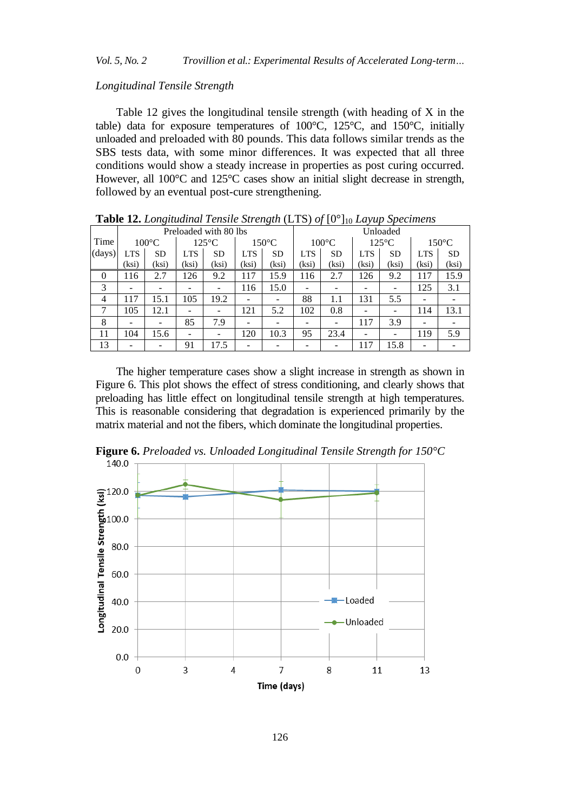## *Longitudinal Tensile Strength*

Table 12 gives the longitudinal tensile strength (with heading of X in the table) data for exposure temperatures of 100°C, 125°C, and 150°C, initially unloaded and preloaded with 80 pounds. This data follows similar trends as the SBS tests data, with some minor differences. It was expected that all three conditions would show a steady increase in properties as post curing occurred. However, all 100°C and 125°C cases show an initial slight decrease in strength, followed by an eventual post-cure strengthening.

|          | <b>Two The Hollywood Follows</b> Strength $(215)$ of $[0, 10]$ Larger Specimens |                 |            |                       |            |                 |            |                 |                          |                 |            |                 |  |  |
|----------|---------------------------------------------------------------------------------|-----------------|------------|-----------------------|------------|-----------------|------------|-----------------|--------------------------|-----------------|------------|-----------------|--|--|
|          |                                                                                 |                 |            | Preloaded with 80 lbs |            |                 | Unloaded   |                 |                          |                 |            |                 |  |  |
| Time     |                                                                                 | $100^{\circ}$ C |            | $125^{\circ}$ C       |            | $150^{\circ}$ C |            | $100^{\circ}$ C |                          | $125^{\circ}$ C |            | $150^{\circ}$ C |  |  |
| (days)   | <b>LTS</b>                                                                      | <b>SD</b>       | <b>LTS</b> | <b>SD</b>             | <b>LTS</b> | <b>SD</b>       | <b>LTS</b> | <b>SD</b>       | <b>LTS</b>               | <b>SD</b>       | <b>LTS</b> | <b>SD</b>       |  |  |
|          | (ksi)                                                                           | (ksi)           | (ksi)      | (ksi)                 | (ksi)      | (ksi)           | (ksi)      | (ksi)           | (ksi)                    | (ksi)           | (ksi)      | (ksi)           |  |  |
| $\theta$ | 116                                                                             | 2.7             | 126        | 9.2                   | 117        | 15.9            | 116        | 2.7             | 126                      | 9.2             | 117        | 15.9            |  |  |
| 3        |                                                                                 |                 |            |                       | 116        | 15.0            |            |                 |                          |                 | 125        | 3.1             |  |  |
| 4        | 117                                                                             | 15.1            | 105        | 19.2                  |            |                 | 88         | 1.1             | 131                      | 5.5             |            |                 |  |  |
| 7        | 105                                                                             | 12.1            |            | -                     | 121        | 5.2             | 102        | 0.8             | $\overline{\phantom{0}}$ | -               | 114        | 13.1            |  |  |
| 8        |                                                                                 |                 | 85         | 7.9                   |            |                 |            |                 | 117                      | 3.9             |            |                 |  |  |
| 11       | 104                                                                             | 15.6            |            |                       | 120        | 10.3            | 95         | 23.4            | $\overline{\phantom{0}}$ | -               | 119        | 5.9             |  |  |
| 13       |                                                                                 |                 | 91         | 17.5                  |            |                 |            |                 | 117                      | 15.8            |            |                 |  |  |

**Table 12.** *Longitudinal Tensile Strength* (LTS) *of* [0°]<sup>10</sup> *Layup Specimens*

The higher temperature cases show a slight increase in strength as shown in Figure 6. This plot shows the effect of stress conditioning, and clearly shows that preloading has little effect on longitudinal tensile strength at high temperatures. This is reasonable considering that degradation is experienced primarily by the matrix material and not the fibers, which dominate the longitudinal properties.

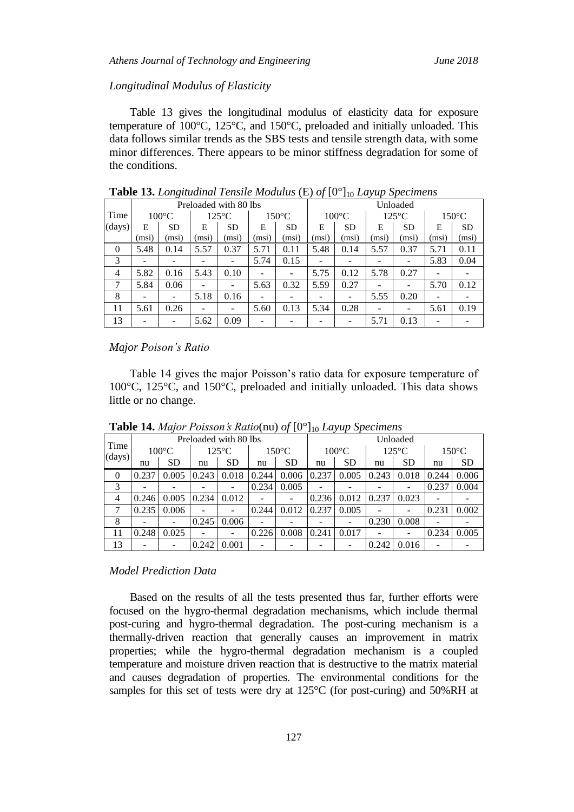## *Longitudinal Modulus of Elasticity*

Table 13 gives the longitudinal modulus of elasticity data for exposure temperature of 100°C, 125°C, and 150°C, preloaded and initially unloaded. This data follows similar trends as the SBS tests and tensile strength data, with some minor differences. There appears to be minor stiffness degradation for some of the conditions.

|                |       | $\circ$                            |       | Preloaded with 80 lbs |       |                 | - J L -<br><b>JIV</b><br>- - - -<br>Unloaded |                 |                          |                 |                          |           |  |
|----------------|-------|------------------------------------|-------|-----------------------|-------|-----------------|----------------------------------------------|-----------------|--------------------------|-----------------|--------------------------|-----------|--|
| Time           |       | $100^{\circ}$ C<br>$125^{\circ}$ C |       | $150^{\circ}$ C       |       | $100^{\circ}$ C |                                              | $125^{\circ}$ C |                          | $150^{\circ}$ C |                          |           |  |
| (days)         | E     | <b>SD</b>                          | E     | <b>SD</b>             | Е     | <b>SD</b>       | E                                            | <b>SD</b>       | E                        | <b>SD</b>       | E                        | <b>SD</b> |  |
|                | (msi) | (msi)                              | (msi) | (msi)                 | (msi) | (msi)           | (msi)                                        | (msi)           | (msi)                    | (msi)           | (msi)                    | (msi)     |  |
| $\Omega$       | 5.48  | 0.14                               | 5.57  | 0.37                  | 5.71  | 0.11            | 5.48                                         | 0.14            | 5.57                     | 0.37            | 5.71                     | 0.11      |  |
| 3              |       |                                    |       | $\qquad \qquad -$     | 5.74  | 0.15            |                                              | -               |                          | ۰               | 5.83                     | 0.04      |  |
| $\overline{4}$ | 5.82  | 0.16                               | 5.43  | 0.10                  |       |                 | 5.75                                         | 0.12            | 5.78                     | 0.27            |                          |           |  |
| 7              | 5.84  | 0.06                               |       | $\qquad \qquad -$     | 5.63  | 0.32            | 5.59                                         | 0.27            |                          |                 | 5.70                     | 0.12      |  |
| 8              | -     |                                    | 5.18  | 0.16                  |       |                 |                                              | -               | 5.55                     | 0.20            | $\overline{\phantom{0}}$ |           |  |
| 11             | 5.61  | 0.26                               |       | $\qquad \qquad -$     | 5.60  | 0.13            | 5.34                                         | 0.28            | $\overline{\phantom{a}}$ | -               | 5.61                     | 0.19      |  |
| 13             |       |                                    | 5.62  | 0.09                  |       |                 |                                              |                 | 5.71                     | 0.13            |                          |           |  |

**Table 13.** *Longitudinal Tensile Modulus* (E) *of* [0°]<sup>10</sup> *Layup Specimens*

## *Major Poison's Ratio*

Table 14 gives the major Poisson's ratio data for exposure temperature of 100°C, 125°C, and 150°C, preloaded and initially unloaded. This data shows little or no change.

| Time     |                 | Preloaded with 80 lbs |                 |           |                 |           |                 | Unloaded  |                 |           |                 |           |  |  |
|----------|-----------------|-----------------------|-----------------|-----------|-----------------|-----------|-----------------|-----------|-----------------|-----------|-----------------|-----------|--|--|
|          | $100^{\circ}$ C |                       | $125^{\circ}$ C |           | $150^{\circ}$ C |           | $100^{\circ}$ C |           | $125^{\circ}$ C |           | $150^{\circ}$ C |           |  |  |
| (days)   | nu              | <b>SD</b>             | nu              | <b>SD</b> | nu              | <b>SD</b> | nu              | <b>SD</b> | nu              | <b>SD</b> | nu              | <b>SD</b> |  |  |
| $\theta$ | 0.237           | 0.005                 | 0.243           | 0.018     | 0.244           | 0.006     | 0.237           | 0.005     | 0.243           | 0.018     | 0.244           | 0.006     |  |  |
| 3        |                 |                       |                 |           | 0.234           | 0.005     |                 |           |                 |           | 0.237           | 0.004     |  |  |
| 4        | 0.246           | 0.005                 | 0.234           | 0.012     |                 |           | 0.236           | 0.012     | 0.237           | 0.023     |                 |           |  |  |
|          | 0.235           | 0.006                 |                 | -         | 0.244           | 0.012     | 0.237           | 0.005     |                 |           | 0.231           | 0.002     |  |  |
| 8        |                 |                       | 0.245           | 0.006     |                 |           |                 |           | 0.230           | 0.008     |                 |           |  |  |
| 11       | 0.248           | 0.025                 |                 | -         | 0.226           | 0.008     | 0.241           | 0.017     |                 |           | 0.234           | 0.005     |  |  |
| 13       |                 |                       | 0.242           | 0.001     |                 |           |                 |           | 0.242           | 0.016     |                 |           |  |  |

**Table 14.** *Major Poisson's Ratio*(nu) *of*  $[0^{\circ}]_{10}$  *Layup Specimens* 

## *Model Prediction Data*

Based on the results of all the tests presented thus far, further efforts were focused on the hygro-thermal degradation mechanisms, which include thermal post-curing and hygro-thermal degradation. The post-curing mechanism is a thermally-driven reaction that generally causes an improvement in matrix properties; while the hygro-thermal degradation mechanism is a coupled temperature and moisture driven reaction that is destructive to the matrix material and causes degradation of properties. The environmental conditions for the samples for this set of tests were dry at 125°C (for post-curing) and 50%RH at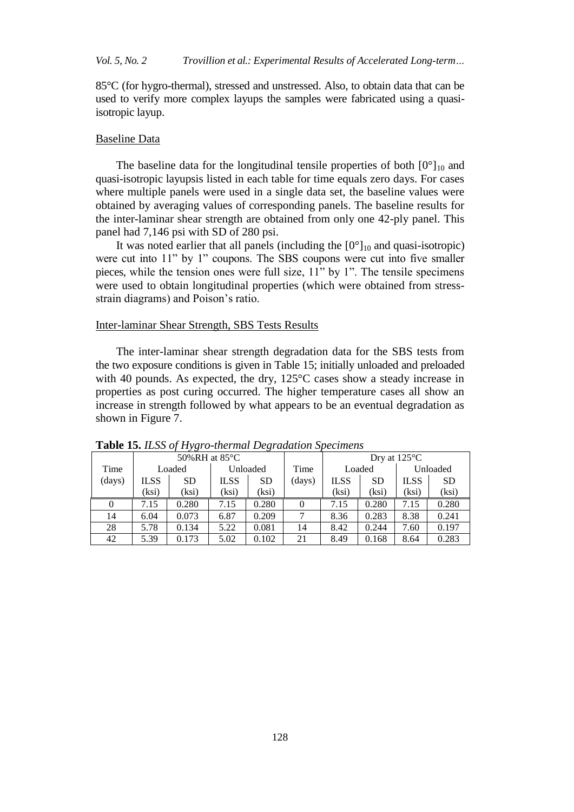## *Vol. 5, No. 2 Trovillion et al.: Experimental Results of Accelerated Long-term…*

85°C (for hygro-thermal), stressed and unstressed. Also, to obtain data that can be used to verify more complex layups the samples were fabricated using a quasiisotropic layup.

#### Baseline Data

The baseline data for the longitudinal tensile properties of both  $[0^{\circ}]_{10}$  and quasi-isotropic layupsis listed in each table for time equals zero days. For cases where multiple panels were used in a single data set, the baseline values were obtained by averaging values of corresponding panels. The baseline results for the inter-laminar shear strength are obtained from only one 42-ply panel. This panel had 7,146 psi with SD of 280 psi.

It was noted earlier that all panels (including the  $[0^{\circ}]_{10}$  and quasi-isotropic) were cut into 11" by 1" coupons. The SBS coupons were cut into five smaller pieces, while the tension ones were full size, 11" by 1". The tensile specimens were used to obtain longitudinal properties (which were obtained from stressstrain diagrams) and Poison's ratio.

## Inter-laminar Shear Strength, SBS Tests Results

The inter-laminar shear strength degradation data for the SBS tests from the two exposure conditions is given in Table 15; initially unloaded and preloaded with 40 pounds. As expected, the dry, 125°C cases show a steady increase in properties as post curing occurred. The higher temperature cases all show an increase in strength followed by what appears to be an eventual degradation as shown in Figure 7.

|        |             | 50%RH at $85^{\circ}$ C |             |           |        | Dry at $125^{\circ}$ C |           |             |           |
|--------|-------------|-------------------------|-------------|-----------|--------|------------------------|-----------|-------------|-----------|
| Time   | Loaded      |                         | Unloaded    |           | Time   |                        | Loaded    |             | Unloaded  |
| (days) | <b>ILSS</b> | <b>SD</b>               | <b>ILSS</b> | <b>SD</b> | (days) | <b>ILSS</b>            | <b>SD</b> | <b>ILSS</b> | <b>SD</b> |
|        | (ksi)       | (ksi)                   | (ksi)       | (ksi)     |        | (ksi)                  | (ksi)     | (ksi)       | (ksi)     |
|        |             |                         |             |           |        |                        |           |             |           |
| 0      | 7.15        | 0.280                   | 7.15        | 0.280     |        | 7.15                   | 0.280     | 7.15        | 0.280     |
| 14     | 6.04        | 0.073                   | 6.87        | 0.209     |        | 8.36                   | 0.283     | 8.38        | 0.241     |
| 28     | 5.78        | 0.134                   | 5.22        | 0.081     | 14     | 8.42                   | 0.244     | 7.60        | 0.197     |

**Table 15.** *ILSS of Hygro-thermal Degradation Specimens*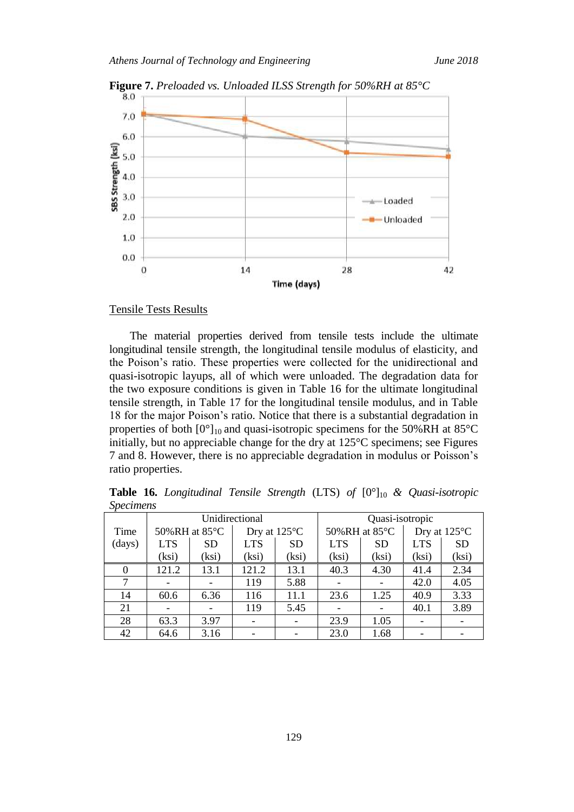

**Figure 7.** *Preloaded vs. Unloaded ILSS Strength for 50%RH at 85°C*

#### Tensile Tests Results

The material properties derived from tensile tests include the ultimate longitudinal tensile strength, the longitudinal tensile modulus of elasticity, and the Poison's ratio. These properties were collected for the unidirectional and quasi-isotropic layups, all of which were unloaded. The degradation data for the two exposure conditions is given in Table 16 for the ultimate longitudinal tensile strength, in Table 17 for the longitudinal tensile modulus, and in Table 18 for the major Poison's ratio. Notice that there is a substantial degradation in properties of both  $[0^{\circ}]_{10}$  and quasi-isotropic specimens for the 50%RH at 85 $^{\circ}$ C initially, but no appreciable change for the dry at 125°C specimens; see Figures 7 and 8. However, there is no appreciable degradation in modulus or Poisson's ratio properties.

**Table 16.** *Longitudinal Tensile Strength* (LTS) *of* [0°]10 *& Quasi-isotropic Specimens*

|          |            |               | Unidirectional |                        | Quasi-isotropic |               |            |              |  |  |
|----------|------------|---------------|----------------|------------------------|-----------------|---------------|------------|--------------|--|--|
| Time     |            | 50%RH at 85°C |                | Dry at $125^{\circ}$ C |                 | 50%RH at 85°C |            | Dry at 125°C |  |  |
| (days)   | <b>LTS</b> | <b>SD</b>     | <b>LTS</b>     | <b>SD</b>              | <b>LTS</b>      | <b>SD</b>     | <b>LTS</b> | <b>SD</b>    |  |  |
|          | (ksi)      | (ksi)         | (ksi)          | (ksi)                  | (ksi)           | (ksi)         | (ksi)      | (ksi)        |  |  |
| $\Omega$ | 121.2      | 13.1          | 121.2          | 13.1                   | 40.3            | 4.30          | 41.4       | 2.34         |  |  |
| 7        |            |               | 119            | 5.88                   |                 |               | 42.0       | 4.05         |  |  |
| 14       | 60.6       | 6.36          | 116            | 11.1                   | 23.6            | 1.25          | 40.9       | 3.33         |  |  |
| 21       |            |               | 119            | 5.45                   |                 |               | 40.1       | 3.89         |  |  |
| 28       | 63.3       | 3.97          |                |                        | 23.9            | 1.05          |            |              |  |  |
| 42       | 64.6       | 3.16          |                |                        | 23.0            | 1.68          |            |              |  |  |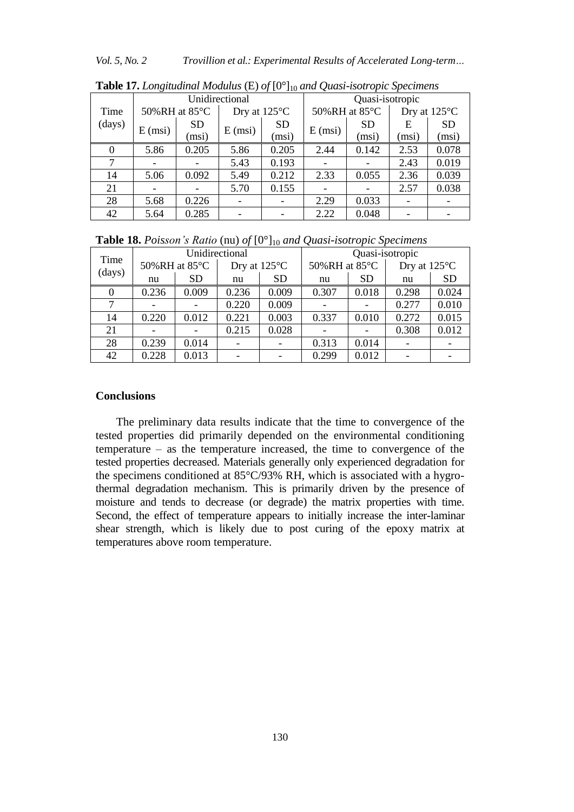*Vol. 5, No. 2 Trovillion et al.: Experimental Results of Accelerated Long-term…*

|          |                   |               | Unidirectional    |                        | Quasi-isotropic   |               |                        |           |  |
|----------|-------------------|---------------|-------------------|------------------------|-------------------|---------------|------------------------|-----------|--|
| Time     |                   | 50%RH at 85°C |                   | Dry at $125^{\circ}$ C |                   | 50%RH at 85°C | Dry at $125^{\circ}$ C |           |  |
| (days)   | $E \text{ (msi)}$ | <b>SD</b>     | $E \text{ (msi)}$ | <b>SD</b>              | $E \text{ (msi)}$ | <b>SD</b>     | E                      | <b>SD</b> |  |
|          |                   | (msi)         |                   | (msi)                  |                   | (msi)         | (msi)                  | (msi)     |  |
| $\Omega$ | 5.86              | 0.205         | 5.86              | 0.205                  | 2.44              | 0.142         | 2.53                   | 0.078     |  |
| $\tau$   |                   |               | 5.43              | 0.193                  |                   |               | 2.43                   | 0.019     |  |
| 14       | 5.06              | 0.092         | 5.49              | 0.212                  | 2.33              | 0.055         | 2.36                   | 0.039     |  |
| 21       |                   |               | 5.70              | 0.155                  |                   |               | 2.57                   | 0.038     |  |
| 28       | 5.68              | 0.226         |                   |                        | 2.29              | 0.033         |                        |           |  |
| 42       | 5.64              | 0.285         |                   |                        | 2.22              | 0.048         |                        |           |  |

**Table 17.** *Longitudinal Modulus* (E) *of* [0°]<sup>10</sup> *and Quasi-isotropic Specimens*

**Table 18.** *Poisson's Ratio* (nu) *of* [0°]<sup>10</sup> *and Quasi-isotropic Specimens*

| Time<br>(days) |       | Unidirectional |       |                        | Quasi-isotropic |           |              |           |  |  |
|----------------|-------|----------------|-------|------------------------|-----------------|-----------|--------------|-----------|--|--|
|                |       | 50%RH at 85°C  |       | Dry at $125^{\circ}$ C | 50%RH at 85°C   |           | Dry at 125°C |           |  |  |
|                | nu    | <b>SD</b>      | nu    | <b>SD</b>              | nu              | <b>SD</b> | nu           | <b>SD</b> |  |  |
|                | 0.236 | 0.009          | 0.236 | 0.009                  | 0.307           | 0.018     | 0.298        | 0.024     |  |  |
|                |       |                | 0.220 | 0.009                  |                 |           | 0.277        | 0.010     |  |  |
| 14             | 0.220 | 0.012          | 0.221 | 0.003                  | 0.337           | 0.010     | 0.272        | 0.015     |  |  |
| 21             |       |                | 0.215 | 0.028                  |                 |           | 0.308        | 0.012     |  |  |
| 28             | 0.239 | 0.014          |       |                        | 0.313           | 0.014     |              |           |  |  |
| 42             | 0.228 | 0.013          |       |                        | 0.299           | 0.012     |              |           |  |  |

# **Conclusions**

The preliminary data results indicate that the time to convergence of the tested properties did primarily depended on the environmental conditioning temperature – as the temperature increased, the time to convergence of the tested properties decreased. Materials generally only experienced degradation for the specimens conditioned at 85°C/93% RH, which is associated with a hygrothermal degradation mechanism. This is primarily driven by the presence of moisture and tends to decrease (or degrade) the matrix properties with time. Second, the effect of temperature appears to initially increase the inter-laminar shear strength, which is likely due to post curing of the epoxy matrix at temperatures above room temperature.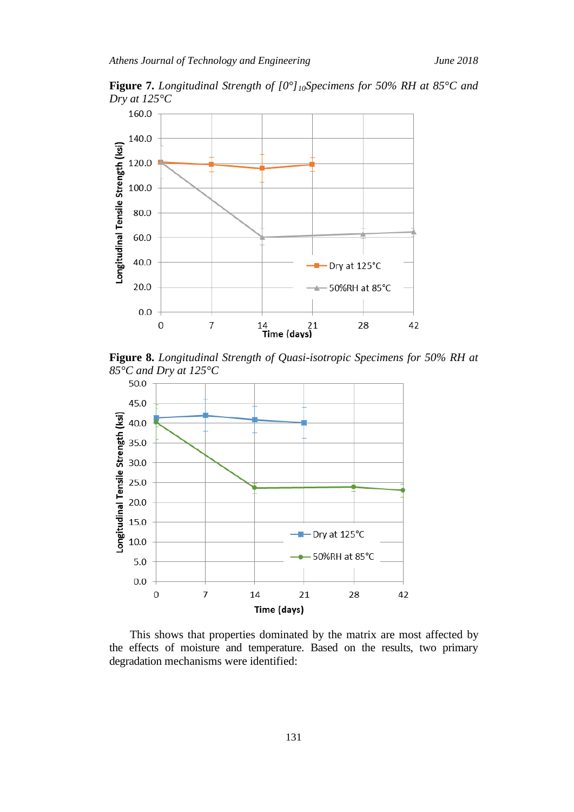



**Figure 8.** *Longitudinal Strength of Quasi-isotropic Specimens for 50% RH at 85°C and Dry at 125°C*



This shows that properties dominated by the matrix are most affected by the effects of moisture and temperature. Based on the results, two primary degradation mechanisms were identified: